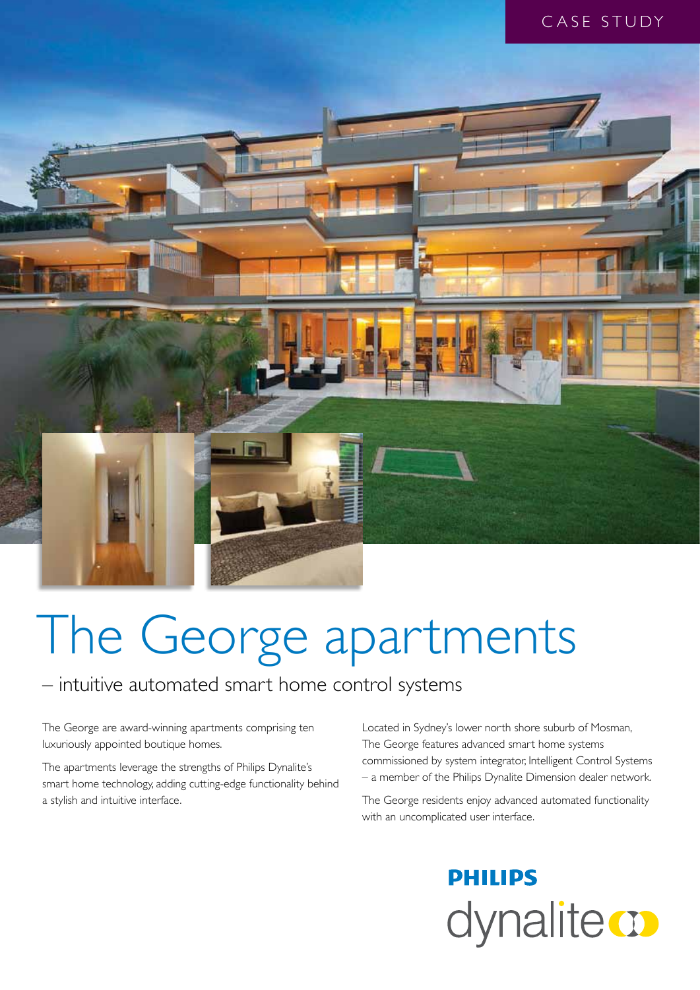

# The George apartments

### – intuitive automated smart home control systems

The George are award-winning apartments comprising ten luxuriously appointed boutique homes.

The apartments leverage the strengths of Philips Dynalite's smart home technology, adding cutting-edge functionality behind a stylish and intuitive interface.

Located in Sydney's lower north shore suburb of Mosman, The George features advanced smart home systems commissioned by system integrator, Intelligent Control Systems – a member of the Philips Dynalite Dimension dealer network.

The George residents enjoy advanced automated functionality with an uncomplicated user interface.

## **PHILIPS** dynalite **o**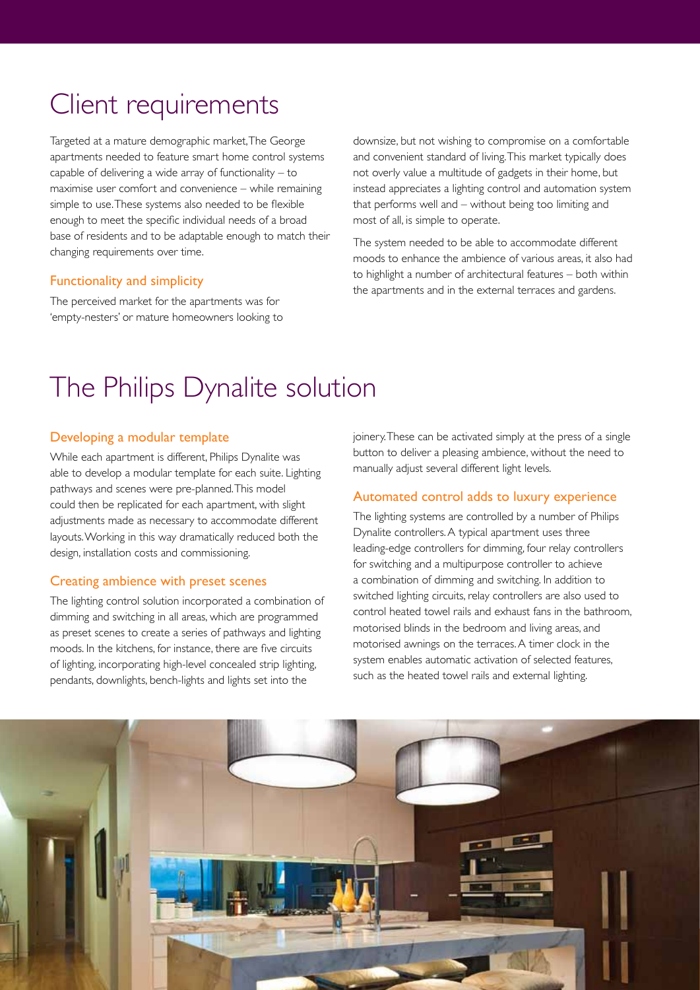### Client requirements

Targeted at a mature demographic market, The George apartments needed to feature smart home control systems capable of delivering a wide array of functionality – to maximise user comfort and convenience – while remaining simple to use. These systems also needed to be flexible enough to meet the specific individual needs of a broad base of residents and to be adaptable enough to match their changing requirements over time.

#### Functionality and simplicity

The perceived market for the apartments was for 'empty-nesters' or mature homeowners looking to

downsize, but not wishing to compromise on a comfortable and convenient standard of living. This market typically does not overly value a multitude of gadgets in their home, but instead appreciates a lighting control and automation system that performs well and – without being too limiting and most of all, is simple to operate.

The system needed to be able to accommodate different moods to enhance the ambience of various areas, it also had to highlight a number of architectural features – both within the apartments and in the external terraces and gardens.

### The Philips Dynalite solution

#### Developing a modular template

While each apartment is different, Philips Dynalite was able to develop a modular template for each suite. Lighting pathways and scenes were pre-planned. This model could then be replicated for each apartment, with slight adjustments made as necessary to accommodate different layouts. Working in this way dramatically reduced both the design, installation costs and commissioning.

#### Creating ambience with preset scenes

The lighting control solution incorporated a combination of dimming and switching in all areas, which are programmed as preset scenes to create a series of pathways and lighting moods. In the kitchens, for instance, there are five circuits of lighting, incorporating high-level concealed strip lighting, pendants, downlights, bench-lights and lights set into the

joinery. These can be activated simply at the press of a single button to deliver a pleasing ambience, without the need to manually adjust several different light levels.

#### Automated control adds to luxury experience

The lighting systems are controlled by a number of Philips Dynalite controllers. A typical apartment uses three leading-edge controllers for dimming, four relay controllers for switching and a multipurpose controller to achieve a combination of dimming and switching. In addition to switched lighting circuits, relay controllers are also used to control heated towel rails and exhaust fans in the bathroom, motorised blinds in the bedroom and living areas, and motorised awnings on the terraces. A timer clock in the system enables automatic activation of selected features, such as the heated towel rails and external lighting.

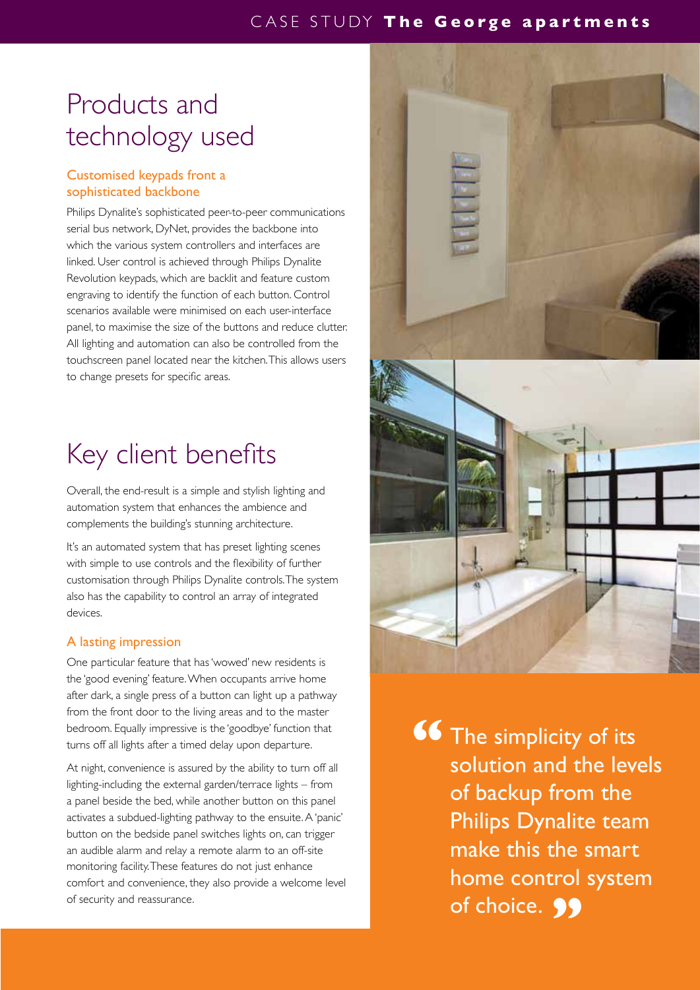### Products and technology used

#### Customised keypads front a sophisticated backbone

Philips Dynalite's sophisticated peer-to-peer communications serial bus network, DyNet, provides the backbone into which the various system controllers and interfaces are linked. User control is achieved through Philips Dynalite Revolution keypads, which are backlit and feature custom engraving to identify the function of each button. Control scenarios available were minimised on each user-interface panel, to maximise the size of the buttons and reduce clutter. All lighting and automation can also be controlled from the touchscreen panel located near the kitchen. This allows users to change presets for specific areas.

### Key client benefits

Overall, the end-result is a simple and stylish lighting and automation system that enhances the ambience and complements the building's stunning architecture.

It's an automated system that has preset lighting scenes with simple to use controls and the flexibility of further customisation through Philips Dynalite controls. The system also has the capability to control an array of integrated devices.

#### A lasting impression

One particular feature that has 'wowed' new residents is the 'good evening' feature. When occupants arrive home after dark, a single press of a button can light up a pathway from the front door to the living areas and to the master bedroom. Equally impressive is the 'goodbye' function that turns off all lights after a timed delay upon departure.

At night, convenience is assured by the ability to turn off all lighting-including the external garden/terrace lights – from a panel beside the bed, while another button on this panel activates a subdued-lighting pathway to the ensuite. A 'panic' button on the bedside panel switches lights on, can trigger an audible alarm and relay a remote alarm to an off-site monitoring facility. These features do not just enhance comfort and convenience, they also provide a welcome level of security and reassurance.



The simplicity of its solution and the levels of backup from the Philips Dynalite team make this the smart home control system of choice. 99 **"**